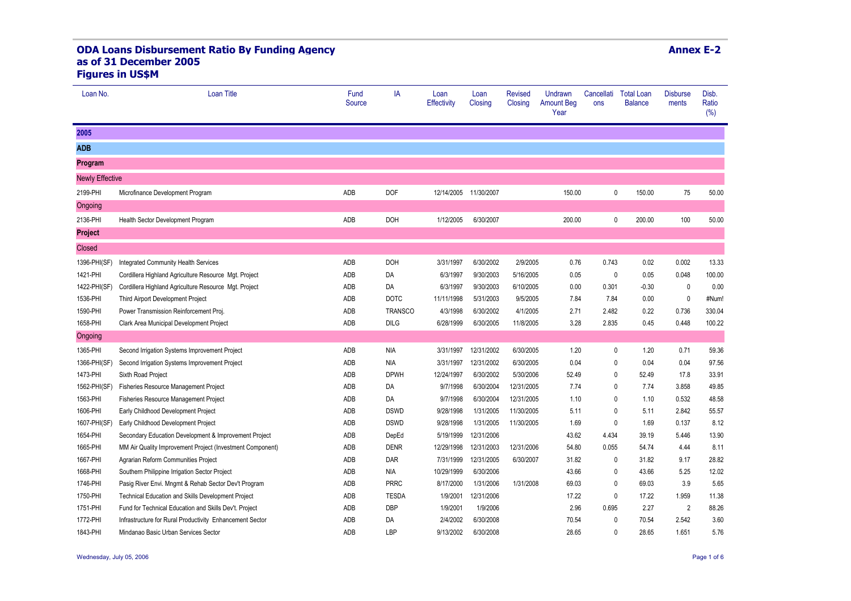## **ODA Loans Disbursement Ratio By Funding Agency as of 31 December 2005 Figures in US\$M**

| Loan No.               | <b>Loan Title</b>                                         | Fund<br>Source | IA             | Loan<br><b>Effectivity</b> | Loan<br>Closing | <b>Revised</b><br>Closing | Undrawn<br><b>Amount Beg</b><br>Year | Cancellati<br>ons | <b>Total Loan</b><br><b>Balance</b> | <b>Disburse</b><br>ments | Disb.<br>Ratio<br>(%) |
|------------------------|-----------------------------------------------------------|----------------|----------------|----------------------------|-----------------|---------------------------|--------------------------------------|-------------------|-------------------------------------|--------------------------|-----------------------|
| 2005                   |                                                           |                |                |                            |                 |                           |                                      |                   |                                     |                          |                       |
| <b>ADB</b>             |                                                           |                |                |                            |                 |                           |                                      |                   |                                     |                          |                       |
| Program                |                                                           |                |                |                            |                 |                           |                                      |                   |                                     |                          |                       |
| <b>Newly Effective</b> |                                                           |                |                |                            |                 |                           |                                      |                   |                                     |                          |                       |
| 2199-PHI               | Microfinance Development Program                          | ADB            | <b>DOF</b>     | 12/14/2005                 | 11/30/2007      |                           | 150.00                               | $\mathbf{0}$      | 150.00                              | 75                       | 50.00                 |
| Ongoing                |                                                           |                |                |                            |                 |                           |                                      |                   |                                     |                          |                       |
| 2136-PHI               | Health Sector Development Program                         | ADB            | <b>DOH</b>     | 1/12/2005                  | 6/30/2007       |                           | 200.00                               | 0                 | 200.00                              | 100                      | 50.00                 |
| <b>Project</b>         |                                                           |                |                |                            |                 |                           |                                      |                   |                                     |                          |                       |
| Closed                 |                                                           |                |                |                            |                 |                           |                                      |                   |                                     |                          |                       |
| 1396-PHI(SF)           | Integrated Community Health Services                      | ADB            | <b>DOH</b>     | 3/31/1997                  | 6/30/2002       | 2/9/2005                  | 0.76                                 | 0.743             | 0.02                                | 0.002                    | 13.33                 |
| 1421-PHI               | Cordillera Highland Agriculture Resource Mgt. Project     | ADB            | DA             | 6/3/1997                   | 9/30/2003       | 5/16/2005                 | 0.05                                 | $\mathbf 0$       | 0.05                                | 0.048                    | 100.00                |
| 1422-PHI(SF)           | Cordillera Highland Agriculture Resource Mgt. Project     | ADB            | DA             | 6/3/1997                   | 9/30/2003       | 6/10/2005                 | 0.00                                 | 0.301             | $-0.30$                             | $\mathbf{0}$             | 0.00                  |
| 1536-PHI               | Third Airport Development Project                         | ADB            | <b>DOTC</b>    | 11/11/1998                 | 5/31/2003       | 9/5/2005                  | 7.84                                 | 7.84              | 0.00                                | $\pmb{0}$                | #Num!                 |
| 1590-PHI               | Power Transmission Reinforcement Proj.                    | ADB            | <b>TRANSCO</b> | 4/3/1998                   | 6/30/2002       | 4/1/2005                  | 2.71                                 | 2.482             | 0.22                                | 0.736                    | 330.04                |
| 1658-PHI               | Clark Area Municipal Development Project                  | ADB            | <b>DILG</b>    | 6/28/1999                  | 6/30/2005       | 11/8/2005                 | 3.28                                 | 2.835             | 0.45                                | 0.448                    | 100.22                |
| Ongoing                |                                                           |                |                |                            |                 |                           |                                      |                   |                                     |                          |                       |
| 1365-PHI               | Second Irrigation Systems Improvement Project             | ADB            | <b>NIA</b>     | 3/31/1997                  | 12/31/2002      | 6/30/2005                 | 1.20                                 | 0                 | 1.20                                | 0.71                     | 59.36                 |
| 1366-PHI(SF)           | Second Irrigation Systems Improvement Project             | ADB            | <b>NIA</b>     | 3/31/1997                  | 12/31/2002      | 6/30/2005                 | 0.04                                 | $\mathbf{0}$      | 0.04                                | 0.04                     | 97.56                 |
| 1473-PHI               | Sixth Road Project                                        | ADB            | <b>DPWH</b>    | 12/24/1997                 | 6/30/2002       | 5/30/2006                 | 52.49                                | $\mathbf{0}$      | 52.49                               | 17.8                     | 33.91                 |
| 1562-PHI(SF)           | Fisheries Resource Management Project                     | ADB            | DA             | 9/7/1998                   | 6/30/2004       | 12/31/2005                | 7.74                                 | $\mathbf{0}$      | 7.74                                | 3.858                    | 49.85                 |
| 1563-PHI               | <b>Fisheries Resource Management Project</b>              | ADB            | DA             | 9/7/1998                   | 6/30/2004       | 12/31/2005                | 1.10                                 | $\mathbf{0}$      | 1.10                                | 0.532                    | 48.58                 |
| 1606-PHI               | Early Childhood Development Project                       | ADB            | <b>DSWD</b>    | 9/28/1998                  | 1/31/2005       | 11/30/2005                | 5.11                                 | $\mathbf{0}$      | 5.11                                | 2.842                    | 55.57                 |
| 1607-PHI(SF)           | Early Childhood Development Project                       | ADB            | <b>DSWD</b>    | 9/28/1998                  | 1/31/2005       | 11/30/2005                | 1.69                                 | 0                 | 1.69                                | 0.137                    | 8.12                  |
| 1654-PHI               | Secondary Education Development & Improvement Project     | ADB            | DepEd          | 5/19/1999                  | 12/31/2006      |                           | 43.62                                | 4.434             | 39.19                               | 5.446                    | 13.90                 |
| 1665-PHI               | MM Air Quality Improvement Project (Investment Component) | ADB            | <b>DENR</b>    | 12/29/1998                 | 12/31/2003      | 12/31/2006                | 54.80                                | 0.055             | 54.74                               | 4.44                     | 8.11                  |
| 1667-PHI               | Agrarian Reform Communities Project                       | ADB            | DAR            | 7/31/1999                  | 12/31/2005      | 6/30/2007                 | 31.82                                | 0                 | 31.82                               | 9.17                     | 28.82                 |
| 1668-PHI               | Southern Philippine Irrigation Sector Project             | ADB            | <b>NIA</b>     | 10/29/1999                 | 6/30/2006       |                           | 43.66                                | 0                 | 43.66                               | 5.25                     | 12.02                 |
| 1746-PHI               | Pasig River Envi. Mngmt & Rehab Sector Dev't Program      | ADB            | <b>PRRC</b>    | 8/17/2000                  | 1/31/2006       | 1/31/2008                 | 69.03                                | 0                 | 69.03                               | 3.9                      | 5.65                  |
| 1750-PHI               | Technical Education and Skills Development Project        | ADB            | <b>TESDA</b>   | 1/9/2001                   | 12/31/2006      |                           | 17.22                                | 0                 | 17.22                               | 1.959                    | 11.38                 |
| 1751-PHI               | Fund for Technical Education and Skills Dev't. Project    | ADB            | <b>DBP</b>     | 1/9/2001                   | 1/9/2006        |                           | 2.96                                 | 0.695             | 2.27                                | $\overline{2}$           | 88.26                 |
| 1772-PHI               | Infrastructure for Rural Productivity Enhancement Sector  | ADB            | DA             | 2/4/2002                   | 6/30/2008       |                           | 70.54                                | 0                 | 70.54                               | 2.542                    | 3.60                  |
| 1843-PHI               | Mindanao Basic Urban Services Sector                      | ADB            | LBP            | 9/13/2002                  | 6/30/2008       |                           | 28.65                                | 0                 | 28.65                               | 1.651                    | 5.76                  |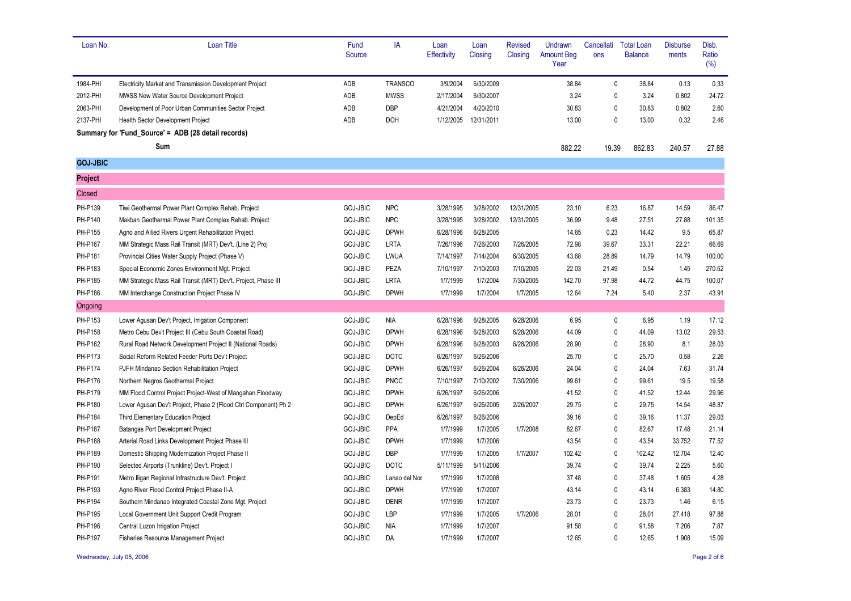| Loan No.        | <b>Loan Title</b>                                               | Fund<br>Source  | IA             | Loan<br><b>Effectivity</b> | Loan<br>Closing | <b>Revised</b><br>Closing | Undrawn<br><b>Amount Beg</b><br>Year | Cancellati<br>ons | <b>Total Loan</b><br><b>Balance</b> | <b>Disburse</b><br>ments | Disb.<br>Ratio<br>(%) |
|-----------------|-----------------------------------------------------------------|-----------------|----------------|----------------------------|-----------------|---------------------------|--------------------------------------|-------------------|-------------------------------------|--------------------------|-----------------------|
| 1984-PHI        | <b>Electricity Market and Transmission Development Project</b>  | ADB             | <b>TRANSCO</b> | 3/9/2004                   | 6/30/2009       |                           | 38.84                                | 0                 | 38.84                               | 0.13                     | 0.33                  |
| 2012-PHI        | MWSS New Water Source Development Project                       | ADB             | <b>MWSS</b>    | 2/17/2004                  | 6/30/2007       |                           | 3.24                                 | 0                 | 3.24                                | 0.802                    | 24.72                 |
| 2063-PHI        | Development of Poor Urban Communities Sector Project            | ADB             | DBP            | 4/21/2004                  | 4/20/2010       |                           | 30.83                                | 0                 | 30.83                               | 0.802                    | 2.60                  |
| 2137-PHI        | Health Sector Development Project                               | ADB             | <b>DOH</b>     | 1/12/2005                  | 12/31/2011      |                           | 13.00                                | 0                 | 13.00                               | 0.32                     | 2.46                  |
|                 | Summary for 'Fund_Source' = ADB (28 detail records)             |                 |                |                            |                 |                           |                                      |                   |                                     |                          |                       |
|                 | Sum                                                             |                 |                |                            |                 |                           | 882.22                               | 19.39             | 862.83                              | 240.57                   | 27.88                 |
| <b>GOJ-JBIC</b> |                                                                 |                 |                |                            |                 |                           |                                      |                   |                                     |                          |                       |
| <b>Project</b>  |                                                                 |                 |                |                            |                 |                           |                                      |                   |                                     |                          |                       |
| Closed          |                                                                 |                 |                |                            |                 |                           |                                      |                   |                                     |                          |                       |
| PH-P139         | Tiwi Geothermal Power Plant Complex Rehab. Project              | <b>GOJ-JBIC</b> | <b>NPC</b>     | 3/28/1995                  | 3/28/2002       | 12/31/2005                | 23.10                                | 6.23              | 16.87                               | 14.59                    | 86.47                 |
| PH-P140         | Makban Geothermal Power Plant Complex Rehab. Project            | GOJ-JBIC        | <b>NPC</b>     | 3/28/1995                  | 3/28/2002       | 12/31/2005                | 36.99                                | 9.48              | 27.51                               | 27.88                    | 101.35                |
| PH-P155         | Agno and Allied Rivers Urgent Rehabilitation Project            | <b>GOJ-JBIC</b> | <b>DPWH</b>    | 6/28/1996                  | 6/28/2005       |                           | 14.65                                | 0.23              | 14.42                               | 9.5                      | 65.87                 |
| PH-P167         | MM Strategic Mass Rail Transit (MRT) Dev't. (Line 2) Proj.      | GOJ-JBIC        | <b>LRTA</b>    | 7/26/1996                  | 7/26/2003       | 7/26/2005                 | 72.98                                | 39.67             | 33.31                               | 22.21                    | 66.69                 |
| PH-P181         | Provincial Cities Water Supply Project (Phase V)                | GOJ-JBIC        | LWUA           | 7/14/1997                  | 7/14/2004       | 6/30/2005                 | 43.68                                | 28.89             | 14.79                               | 14.79                    | 100.00                |
| PH-P183         | Special Economic Zones Environment Mgt. Project                 | <b>GOJ-JBIC</b> | PEZA           | 7/10/1997                  | 7/10/2003       | 7/10/2005                 | 22.03                                | 21.49             | 0.54                                | 1.45                     | 270.52                |
| PH-P185         | MM Strategic Mass Rail Transit (MRT) Dev't. Project, Phase III  | <b>GOJ-JBIC</b> | <b>LRTA</b>    | 1/7/1999                   | 1/7/2004        | 7/30/2005                 | 142.70                               | 97.98             | 44.72                               | 44.75                    | 100.07                |
| PH-P186         | MM Interchange Construction Project Phase IV                    | <b>GOJ-JBIC</b> | <b>DPWH</b>    | 1/7/1999                   | 1/7/2004        | 1/7/2005                  | 12.64                                | 7.24              | 5.40                                | 2.37                     | 43.91                 |
| Ongoing         |                                                                 |                 |                |                            |                 |                           |                                      |                   |                                     |                          |                       |
| PH-P153         | Lower Agusan Dev't Project, Irrigation Component                | <b>GOJ-JBIC</b> | <b>NIA</b>     | 6/28/1996                  | 6/28/2005       | 6/28/2006                 | 6.95                                 | 0                 | 6.95                                | 1.19                     | 17.12                 |
| PH-P158         | Metro Cebu Dev't Project III (Cebu South Coastal Road)          | <b>GOJ-JBIC</b> | <b>DPWH</b>    | 6/28/1996                  | 6/28/2003       | 6/28/2006                 | 44.09                                | 0                 | 44.09                               | 13.02                    | 29.53                 |
| PH-P162         | Rural Road Network Development Project II (National Roads)      | <b>GOJ-JBIC</b> | <b>DPWH</b>    | 6/28/1996                  | 6/28/2003       | 6/28/2006                 | 28.90                                | 0                 | 28.90                               | 8.1                      | 28.03                 |
| PH-P173         | Social Reform Related Feeder Ports Dev't Project                | GOJ-JBIC        | <b>DOTC</b>    | 6/26/1997                  | 6/26/2006       |                           | 25.70                                | 0                 | 25.70                               | 0.58                     | 2.26                  |
| PH-P174         | PJFH Mindanao Section Rehabilitation Project                    | <b>GOJ-JBIC</b> | <b>DPWH</b>    | 6/26/1997                  | 6/26/2004       | 6/26/2006                 | 24.04                                | 0                 | 24.04                               | 7.63                     | 31.74                 |
| PH-P176         | Northern Negros Geothermal Project                              | <b>GOJ-JBIC</b> | PNOC           | 7/10/1997                  | 7/10/2002       | 7/30/2006                 | 99.61                                | 0                 | 99.61                               | 19.5                     | 19.58                 |
| PH-P179         | MM Flood Control Project Project-West of Mangahan Floodway      | <b>GOJ-JBIC</b> | <b>DPWH</b>    | 6/26/1997                  | 6/26/2006       |                           | 41.52                                | 0                 | 41.52                               | 12.44                    | 29.96                 |
| PH-P180         | Lower Agusan Dev't Project, Phase 2 (Flood Ctrl Component) Ph 2 | GOJ-JBIC        | <b>DPWH</b>    | 6/26/1997                  | 6/26/2005       | 2/26/2007                 | 29.75                                | 0                 | 29.75                               | 14.54                    | 48.87                 |
| PH-P184         | Third Elementary Education Project                              | GOJ-JBIC        | DepEd          | 6/26/1997                  | 6/26/2006       |                           | 39.16                                | 0                 | 39.16                               | 11.37                    | 29.03                 |
| PH-P187         | Batangas Port Development Project                               | <b>GOJ-JBIC</b> | PPA            | 1/7/1999                   | 1/7/2005        | 1/7/2008                  | 82.67                                | 0                 | 82.67                               | 17.48                    | 21.14                 |
| PH-P188         | Arterial Road Links Development Project Phase III               | <b>GOJ-JBIC</b> | <b>DPWH</b>    | 1/7/1999                   | 1/7/2006        |                           | 43.54                                | 0                 | 43.54                               | 33.752                   | 77.52                 |
| PH-P189         | Domestic Shipping Modernization Project Phase II                | GOJ-JBIC        | <b>DBP</b>     | 1/7/1999                   | 1/7/2005        | 1/7/2007                  | 102.42                               | 0                 | 102.42                              | 12.704                   | 12.40                 |
| PH-P190         | Selected Airports (Trunkline) Dev't. Project I                  | <b>GOJ-JBIC</b> | <b>DOTC</b>    | 5/11/1999                  | 5/11/2006       |                           | 39.74                                | 0                 | 39.74                               | 2.225                    | 5.60                  |
| PH-P191         | Metro Iligan Regional Infrastructure Dev't. Project             | <b>GOJ-JBIC</b> | Lanao del Nor  | 1/7/1999                   | 1/7/2008        |                           | 37.48                                | 0                 | 37.48                               | 1.605                    | 4.28                  |
| PH-P193         | Agno River Flood Control Project Phase II-A                     | <b>GOJ-JBIC</b> | <b>DPWH</b>    | 1/7/1999                   | 1/7/2007        |                           | 43.14                                | 0                 | 43.14                               | 6.383                    | 14.80                 |
| PH-P194         | Southern Mindanao Integrated Coastal Zone Mgt. Project          | <b>GOJ-JBIC</b> | <b>DENR</b>    | 1/7/1999                   | 1/7/2007        |                           | 23.73                                | 0                 | 23.73                               | 1.46                     | 6.15                  |
| PH-P195         | Local Government Unit Support Credit Program                    | GOJ-JBIC        | LBP            | 1/7/1999                   | 1/7/2005        | 1/7/2006                  | 28.01                                | 0                 | 28.01                               | 27.418                   | 97.88                 |
| PH-P196         | Central Luzon Irrigation Project                                | <b>GOJ-JBIC</b> | <b>NIA</b>     | 1/7/1999                   | 1/7/2007        |                           | 91.58                                | 0                 | 91.58                               | 7.206                    | 7.87                  |
| PH-P197         | Fisheries Resource Management Project                           | GOJ-JBIC        | DA             | 1/7/1999                   | 1/7/2007        |                           | 12.65                                | 0                 | 12.65                               | 1.908                    | 15.09                 |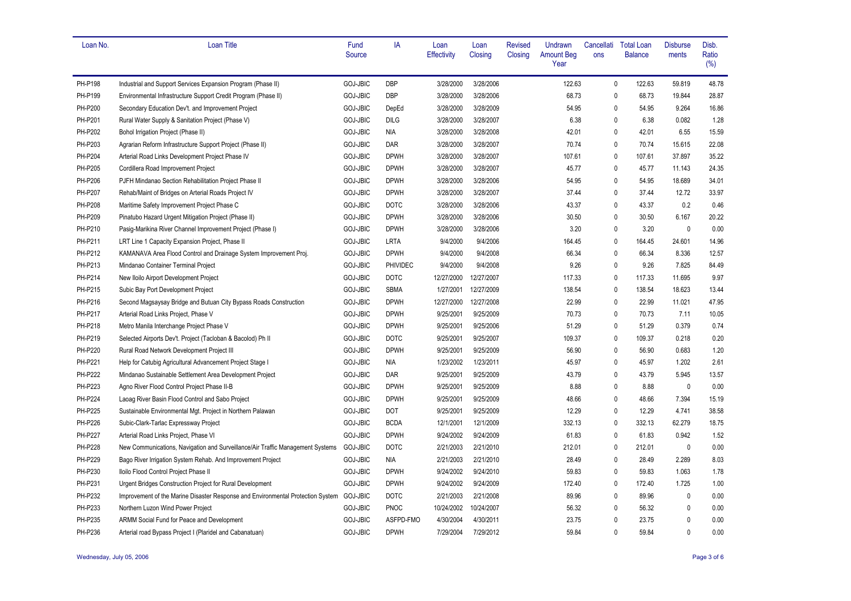| Loan No. | <b>Loan Title</b>                                                                        | Fund<br>Source  | IA          | Loan<br><b>Effectivity</b> | Loan<br>Closing | <b>Revised</b><br>Closing | Undrawn<br><b>Amount Beg</b><br>Year | Cancellati<br>ons | <b>Total Loan</b><br><b>Balance</b> | <b>Disburse</b><br>ments | Disb.<br>Ratio<br>(%) |
|----------|------------------------------------------------------------------------------------------|-----------------|-------------|----------------------------|-----------------|---------------------------|--------------------------------------|-------------------|-------------------------------------|--------------------------|-----------------------|
|          |                                                                                          |                 |             |                            |                 |                           |                                      |                   |                                     |                          |                       |
| PH-P198  | Industrial and Support Services Expansion Program (Phase II)                             | <b>GOJ-JBIC</b> | <b>DBP</b>  | 3/28/2000                  | 3/28/2006       |                           | 122.63                               | $\mathbf 0$       | 122.63                              | 59.819                   | 48.78                 |
| PH-P199  | Environmental Infrastructure Support Credit Program (Phase II)                           | <b>GOJ-JBIC</b> | DBP         | 3/28/2000                  | 3/28/2006       |                           | 68.73                                | $\mathbf{0}$      | 68.73                               | 19.844                   | 28.87                 |
| PH-P200  | Secondary Education Dev't. and Improvement Project                                       | GOJ-JBIC        | DepEd       | 3/28/2000                  | 3/28/2009       |                           | 54.95                                | 0                 | 54.95                               | 9.264                    | 16.86                 |
| PH-P201  | Rural Water Supply & Sanitation Project (Phase V)                                        | GOJ-JBIC        | <b>DILG</b> | 3/28/2000                  | 3/28/2007       |                           | 6.38                                 | $\mathbf 0$       | 6.38                                | 0.082                    | 1.28                  |
| PH-P202  | Bohol Irrigation Project (Phase II)                                                      | GOJ-JBIC        | NIA         | 3/28/2000                  | 3/28/2008       |                           | 42.01                                | $\mathbf 0$       | 42.01                               | 6.55                     | 15.59                 |
| PH-P203  | Agrarian Reform Infrastructure Support Project (Phase II)                                | GOJ-JBIC        | <b>DAR</b>  | 3/28/2000                  | 3/28/2007       |                           | 70.74                                | $\mathbf{0}$      | 70.74                               | 15.615                   | 22.08                 |
| PH-P204  | Arterial Road Links Development Project Phase IV                                         | <b>GOJ-JBIC</b> | <b>DPWH</b> | 3/28/2000                  | 3/28/2007       |                           | 107.61                               | $\mathbf 0$       | 107.61                              | 37.897                   | 35.22                 |
| PH-P205  | Cordillera Road Improvement Project                                                      | GOJ-JBIC        | <b>DPWH</b> | 3/28/2000                  | 3/28/2007       |                           | 45.77                                | 0                 | 45.77                               | 11.143                   | 24.35                 |
| PH-P206  | PJFH Mindanao Section Rehabilitation Project Phase II                                    | GOJ-JBIC        | <b>DPWH</b> | 3/28/2000                  | 3/28/2006       |                           | 54.95                                | 0                 | 54.95                               | 18.689                   | 34.01                 |
| PH-P207  | Rehab/Maint of Bridges on Arterial Roads Project IV                                      | <b>GOJ-JBIC</b> | <b>DPWH</b> | 3/28/2000                  | 3/28/2007       |                           | 37.44                                | 0                 | 37.44                               | 12.72                    | 33.97                 |
| PH-P208  | Maritime Safety Improvement Project Phase C                                              | <b>GOJ-JBIC</b> | <b>DOTC</b> | 3/28/2000                  | 3/28/2006       |                           | 43.37                                | $\mathbf 0$       | 43.37                               | 0.2                      | 0.46                  |
| PH-P209  | Pinatubo Hazard Urgent Mitigation Project (Phase II)                                     | <b>GOJ-JBIC</b> | <b>DPWH</b> | 3/28/2000                  | 3/28/2006       |                           | 30.50                                | $\mathbf 0$       | 30.50                               | 6.167                    | 20.22                 |
| PH-P210  | Pasig-Marikina River Channel Improvement Project (Phase I)                               | <b>GOJ-JBIC</b> | <b>DPWH</b> | 3/28/2000                  | 3/28/2006       |                           | 3.20                                 | $\mathbf{0}$      | 3.20                                | $\mathbf 0$              | 0.00                  |
| PH-P211  | LRT Line 1 Capacity Expansion Project, Phase II                                          | GOJ-JBIC        | <b>LRTA</b> | 9/4/2000                   | 9/4/2006        |                           | 164.45                               | $\Omega$          | 164.45                              | 24.601                   | 14.96                 |
| PH-P212  | KAMANAVA Area Flood Control and Drainage System Improvement Proj.                        | GOJ-JBIC        | <b>DPWH</b> | 9/4/2000                   | 9/4/2008        |                           | 66.34                                | $\mathbf 0$       | 66.34                               | 8.336                    | 12.57                 |
| PH-P213  | Mindanao Container Terminal Project                                                      | GOJ-JBIC        | PHIVIDEC    | 9/4/2000                   | 9/4/2008        |                           | 9.26                                 | $\mathbf 0$       | 9.26                                | 7.825                    | 84.49                 |
| PH-P214  | New Iloilo Airport Development Project                                                   | <b>GOJ-JBIC</b> | <b>DOTC</b> | 12/27/2000                 | 12/27/2007      |                           | 117.33                               | $\mathbf 0$       | 117.33                              | 11.695                   | 9.97                  |
| PH-P215  | Subic Bay Port Development Project                                                       | GOJ-JBIC        | <b>SBMA</b> | 1/27/2001                  | 12/27/2009      |                           | 138.54                               | $\mathbf 0$       | 138.54                              | 18.623                   | 13.44                 |
| PH-P216  | Second Magsaysay Bridge and Butuan City Bypass Roads Construction                        | GOJ-JBIC        | <b>DPWH</b> | 12/27/2000                 | 12/27/2008      |                           | 22.99                                | $\mathbf{0}$      | 22.99                               | 11.021                   | 47.95                 |
| PH-P217  | Arterial Road Links Project, Phase V                                                     | GOJ-JBIC        | <b>DPWH</b> | 9/25/2001                  | 9/25/2009       |                           | 70.73                                | $\mathbf{0}$      | 70.73                               | 7.11                     | 10.05                 |
| PH-P218  | Metro Manila Interchange Project Phase V                                                 | <b>GOJ-JBIC</b> | <b>DPWH</b> | 9/25/2001                  | 9/25/2006       |                           | 51.29                                | $\mathbf 0$       | 51.29                               | 0.379                    | 0.74                  |
| PH-P219  | Selected Airports Dev't. Project (Tacloban & Bacolod) Ph II                              | <b>GOJ-JBIC</b> | <b>DOTC</b> | 9/25/2001                  | 9/25/2007       |                           | 109.37                               | $\mathbf 0$       | 109.37                              | 0.218                    | 0.20                  |
| PH-P220  | Rural Road Network Development Project III                                               | GOJ-JBIC        | <b>DPWH</b> | 9/25/2001                  | 9/25/2009       |                           | 56.90                                | $\mathbf 0$       | 56.90                               | 0.683                    | 1.20                  |
| PH-P221  | Help for Catubig Agricultural Advancement Project Stage I                                | GOJ-JBIC        | NIA         | 1/23/2002                  | 1/23/2011       |                           | 45.97                                | $\Omega$          | 45.97                               | 1.202                    | 2.61                  |
| PH-P222  | Mindanao Sustainable Settlement Area Development Project                                 | GOJ-JBIC        | <b>DAR</b>  | 9/25/2001                  | 9/25/2009       |                           | 43.79                                | $\mathbf 0$       | 43.79                               | 5.945                    | 13.57                 |
| PH-P223  | Agno River Flood Control Project Phase II-B                                              | GOJ-JBIC        | <b>DPWH</b> | 9/25/2001                  | 9/25/2009       |                           | 8.88                                 | 0                 | 8.88                                | $\mathbf 0$              | 0.00                  |
| PH-P224  | Laoag River Basin Flood Control and Sabo Project                                         | <b>GOJ-JBIC</b> | <b>DPWH</b> | 9/25/2001                  | 9/25/2009       |                           | 48.66                                | $\mathbf 0$       | 48.66                               | 7.394                    | 15.19                 |
| PH-P225  | Sustainable Environmental Mgt. Project in Northern Palawan                               | <b>GOJ-JBIC</b> | <b>DOT</b>  | 9/25/2001                  | 9/25/2009       |                           | 12.29                                | $\mathbf 0$       | 12.29                               | 4.741                    | 38.58                 |
| PH-P226  | Subic-Clark-Tarlac Expressway Project                                                    | <b>GOJ-JBIC</b> | <b>BCDA</b> | 12/1/2001                  | 12/1/2009       |                           | 332.13                               | $\mathbf{0}$      | 332.13                              | 62.279                   | 18.75                 |
| PH-P227  | Arterial Road Links Project, Phase VI                                                    | <b>GOJ-JBIC</b> | <b>DPWH</b> | 9/24/2002                  | 9/24/2009       |                           | 61.83                                | 0                 | 61.83                               | 0.942                    | 1.52                  |
| PH-P228  | New Communications, Navigation and Surveillance/Air Traffic Management Systems           | <b>GOJ-JBIC</b> | <b>DOTC</b> | 2/21/2003                  | 2/21/2010       |                           | 212.01                               | $\mathbf 0$       | 212.01                              | $\mathbf 0$              | 0.00                  |
| PH-P229  | Bago River Irrigation System Rehab. And Improvement Project                              | <b>GOJ-JBIC</b> | NIA         | 2/21/2003                  | 2/21/2010       |                           | 28.49                                | $\mathbf 0$       | 28.49                               | 2.289                    | 8.03                  |
| PH-P230  | Iloilo Flood Control Project Phase II                                                    | GOJ-JBIC        | <b>DPWH</b> | 9/24/2002                  | 9/24/2010       |                           | 59.83                                | $\mathbf{0}$      | 59.83                               | 1.063                    | 1.78                  |
| PH-P231  | Urgent Bridges Construction Project for Rural Development                                | <b>GOJ-JBIC</b> | <b>DPWH</b> | 9/24/2002                  | 9/24/2009       |                           | 172.40                               | $\mathbf 0$       | 172.40                              | 1.725                    | 1.00                  |
| PH-P232  | Improvement of the Marine Disaster Response and Environmental Protection System GOJ-JBIC |                 | <b>DOTC</b> | 2/21/2003                  | 2/21/2008       |                           | 89.96                                | 0                 | 89.96                               | $\mathbf 0$              | 0.00                  |
| PH-P233  | Northern Luzon Wind Power Project                                                        | <b>GOJ-JBIC</b> | <b>PNOC</b> | 10/24/2002                 | 10/24/2007      |                           | 56.32                                | 0                 | 56.32                               | $\mathbf 0$              | 0.00                  |
| PH-P235  | ARMM Social Fund for Peace and Development                                               | <b>GOJ-JBIC</b> | ASFPD-FMO   | 4/30/2004                  | 4/30/2011       |                           | 23.75                                | 0                 | 23.75                               | 0                        | 0.00                  |
| PH-P236  | Arterial road Bypass Project I (Plaridel and Cabanatuan)                                 | <b>GOJ-JBIC</b> | <b>DPWH</b> | 7/29/2004                  | 7/29/2012       |                           | 59.84                                | $\mathbf{0}$      | 59.84                               | 0                        | 0.00                  |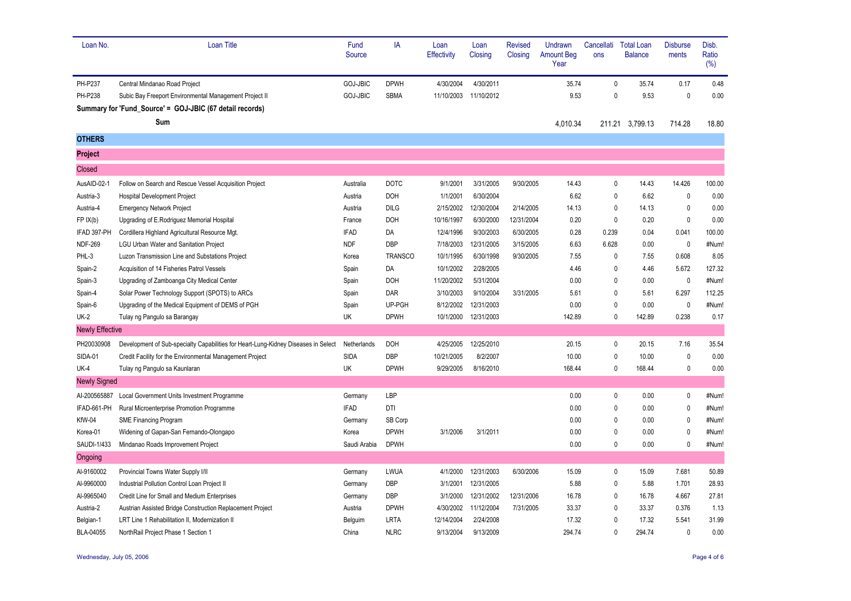| Loan No.               | <b>Loan Title</b>                                                                  | Fund<br>Source  | IA             | Loan<br>Effectivity | Loan<br>Closing | <b>Revised</b><br>Closing | Undrawn<br><b>Amount Beg</b><br>Year | Cancellati<br>ons | <b>Total Loan</b><br><b>Balance</b> | <b>Disburse</b><br>ments | Disb.<br>Ratio<br>(%) |
|------------------------|------------------------------------------------------------------------------------|-----------------|----------------|---------------------|-----------------|---------------------------|--------------------------------------|-------------------|-------------------------------------|--------------------------|-----------------------|
| PH-P237                | Central Mindanao Road Project                                                      | <b>GOJ-JBIC</b> | <b>DPWH</b>    | 4/30/2004           | 4/30/2011       |                           | 35.74                                | $\mathbf 0$       | 35.74                               | 0.17                     | 0.48                  |
| <b>PH-P238</b>         | Subic Bay Freeport Environmental Management Project II                             | <b>GOJ-JBIC</b> | <b>SBMA</b>    | 11/10/2003          | 11/10/2012      |                           | 9.53                                 | 0                 | 9.53                                | $\mathbf 0$              | 0.00                  |
|                        | Summary for 'Fund_Source' = GOJ-JBIC (67 detail records)                           |                 |                |                     |                 |                           |                                      |                   |                                     |                          |                       |
|                        | Sum                                                                                |                 |                |                     |                 |                           | 4,010.34                             |                   | 211.21 3,799.13                     | 714.28                   | 18.80                 |
| <b>OTHERS</b>          |                                                                                    |                 |                |                     |                 |                           |                                      |                   |                                     |                          |                       |
| Project                |                                                                                    |                 |                |                     |                 |                           |                                      |                   |                                     |                          |                       |
| Closed                 |                                                                                    |                 |                |                     |                 |                           |                                      |                   |                                     |                          |                       |
| AusAID-02-1            | Follow on Search and Rescue Vessel Acquisition Project                             | Australia       | <b>DOTC</b>    | 9/1/2001            | 3/31/2005       | 9/30/2005                 | 14.43                                | $\mathbf 0$       | 14.43                               | 14.426                   | 100.00                |
| Austria-3              | Hospital Development Project                                                       | Austria         | DOH            | 1/1/2001            | 6/30/2004       |                           | 6.62                                 | 0                 | 6.62                                | $\mathbf 0$              | 0.00                  |
| Austria-4              | <b>Emergency Network Project</b>                                                   | Austria         | <b>DILG</b>    | 2/15/2002           | 12/30/2004      | 2/14/2005                 | 14.13                                | $\pmb{0}$         | 14.13                               | $\mathbf{0}$             | 0.00                  |
| FP IX(b)               | Upgrading of E.Rodriguez Memorial Hospital                                         | France          | <b>DOH</b>     | 10/16/1997          | 6/30/2000       | 12/31/2004                | 0.20                                 | $\mathbf 0$       | 0.20                                | $\mathbf{0}$             | 0.00                  |
| IFAD 397-PH            | Cordillera Highland Agricultural Resource Mgt.                                     | <b>IFAD</b>     | DA             | 12/4/1996           | 9/30/2003       | 6/30/2005                 | 0.28                                 | 0.239             | 0.04                                | 0.041                    | 100.00                |
| <b>NDF-269</b>         | LGU Urban Water and Sanitation Project                                             | <b>NDF</b>      | DBP            | 7/18/2003           | 12/31/2005      | 3/15/2005                 | 6.63                                 | 6.628             | 0.00                                | $\mathbf{0}$             | #Num!                 |
| PHL-3                  | Luzon Transmission Line and Substations Project                                    | Korea           | <b>TRANSCO</b> | 10/1/1995           | 6/30/1998       | 9/30/2005                 | 7.55                                 | $\mathbf{0}$      | 7.55                                | 0.608                    | 8.05                  |
| Spain-2                | Acquisition of 14 Fisheries Patrol Vessels                                         | Spain           | DA             | 10/1/2002           | 2/28/2005       |                           | 4.46                                 | 0                 | 4.46                                | 5.672                    | 127.32                |
| Spain-3                | Upgrading of Zamboanga City Medical Center                                         | Spain           | DOH            | 11/20/2002          | 5/31/2004       |                           | 0.00                                 | $\mathbf{0}$      | 0.00                                | $\pmb{0}$                | #Num!                 |
| Spain-4                | Solar Power Technology Support (SPOTS) to ARCs                                     | Spain           | <b>DAR</b>     | 3/10/2003           | 9/10/2004       | 3/31/2005                 | 5.61                                 | $\mathbf{0}$      | 5.61                                | 6.297                    | 112.25                |
| Spain-6                | Upgrading of the Medical Equipment of DEMS of PGH                                  | Spain           | UP-PGH         | 8/12/2002           | 12/31/2003      |                           | 0.00                                 | $\Omega$          | 0.00                                | $\mathbf{0}$             | #Num!                 |
| <b>UK-2</b>            | Tulay ng Pangulo sa Barangay                                                       | UK              | <b>DPWH</b>    | 10/1/2000           | 12/31/2003      |                           | 142.89                               | $\mathbf{0}$      | 142.89                              | 0.238                    | 0.17                  |
| <b>Newly Effective</b> |                                                                                    |                 |                |                     |                 |                           |                                      |                   |                                     |                          |                       |
| PH20030908             | Development of Sub-specialty Capabilities for Heart-Lung-Kidney Diseases in Select | Netherlands     | DOH            | 4/25/2005           | 12/25/2010      |                           | 20.15                                | $\mathbf 0$       | 20.15                               | 7.16                     | 35.54                 |
| <b>SIDA-01</b>         | Credit Facility for the Environmental Management Project                           | <b>SIDA</b>     | DBP            | 10/21/2005          | 8/2/2007        |                           | 10.00                                | 0                 | 10.00                               | $\mathbf{0}$             | 0.00                  |
| <b>UK-4</b>            | Tulay ng Pangulo sa Kaunlaran                                                      | UK              | <b>DPWH</b>    | 9/29/2005           | 8/16/2010       |                           | 168.44                               | $\mathbf{0}$      | 168.44                              | $\mathbf{0}$             | 0.00                  |
| <b>Newly Signed</b>    |                                                                                    |                 |                |                     |                 |                           |                                      |                   |                                     |                          |                       |
| AI-200565887           | Local Government Units Investment Programme                                        | Germany         | LBP            |                     |                 |                           | 0.00                                 | $\mathbf 0$       | 0.00                                | $\mathbf{0}$             | #Num!                 |
| IFAD-661-PH            | Rural Microenterprise Promotion Programme                                          | <b>IFAD</b>     | DTI            |                     |                 |                           | 0.00                                 | $\mathbf{0}$      | 0.00                                | $\mathbf{0}$             | #Num!                 |
| KfW-04                 | <b>SME Financing Program</b>                                                       | Germany         | SB Corp        |                     |                 |                           | 0.00                                 | 0                 | 0.00                                | $\Omega$                 | #Num!                 |
| Korea-01               | Widening of Gapan-San Fernando-Olongapo                                            | Korea           | <b>DPWH</b>    | 3/1/2006            | 3/1/2011        |                           | 0.00                                 | $\mathbf{0}$      | 0.00                                | $\mathbf{0}$             | #Num!                 |
| SAUDI-1/433            | Mindanao Roads Improvement Project                                                 | Saudi Arabia    | <b>DPWH</b>    |                     |                 |                           | 0.00                                 | $\mathbf{0}$      | 0.00                                | $\mathbf{0}$             | #Num!                 |
| Ongoing                |                                                                                    |                 |                |                     |                 |                           |                                      |                   |                                     |                          |                       |
| Al-9160002             | Provincial Towns Water Supply I/II                                                 | Germany         | LWUA           | 4/1/2000            | 12/31/2003      | 6/30/2006                 | 15.09                                | 0                 | 15.09                               | 7.681                    | 50.89                 |
| Al-9960000             | Industrial Pollution Control Loan Project II                                       | Germany         | DBP            | 3/1/2001            | 12/31/2005      |                           | 5.88                                 | $\mathbf 0$       | 5.88                                | 1.701                    | 28.93                 |
| Al-9965040             | Credit Line for Small and Medium Enterprises                                       | Germany         | DBP            | 3/1/2000            | 12/31/2002      | 12/31/2006                | 16.78                                | $\mathbf{0}$      | 16.78                               | 4.667                    | 27.81                 |
| Austria-2              | Austrian Assisted Bridge Construction Replacement Project                          | Austria         | <b>DPWH</b>    | 4/30/2002           | 11/12/2004      | 7/31/2005                 | 33.37                                | 0                 | 33.37                               | 0.376                    | 1.13                  |
| Belgian-1              | LRT Line 1 Rehabilitation II, Modernization II                                     | Belguim         | LRTA           | 12/14/2004          | 2/24/2008       |                           | 17.32                                | $\Omega$          | 17.32                               | 5.541                    | 31.99                 |
| BLA-04055              | NorthRail Project Phase 1 Section 1                                                | China           | <b>NLRC</b>    | 9/13/2004           | 9/13/2009       |                           | 294.74                               | $\Omega$          | 294.74                              | $\Omega$                 | 0.00                  |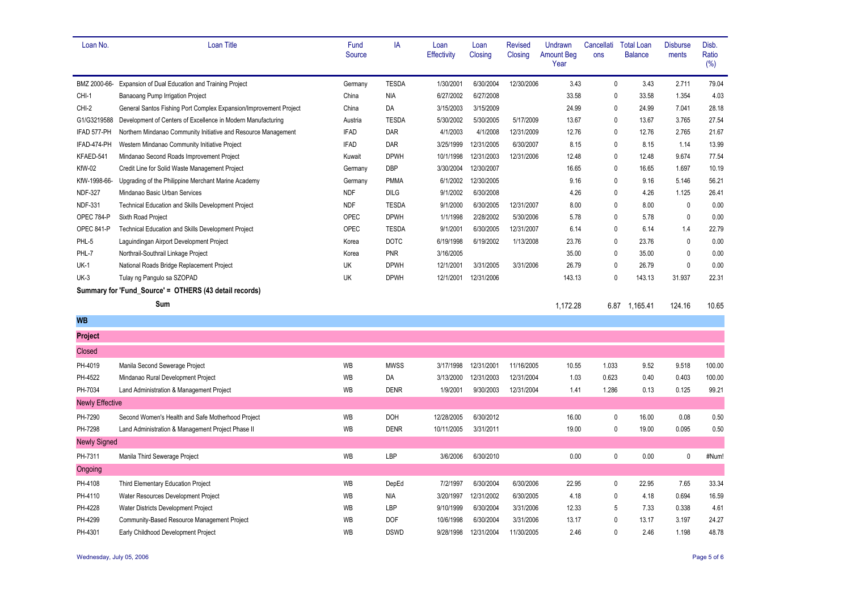| Loan No.               | <b>Loan Title</b>                                                 | Fund<br>Source | IA           | Loan<br><b>Effectivity</b> | Loan<br>Closing | <b>Revised</b><br>Closing | Undrawn<br><b>Amount Beg</b><br>Year | Cancellati<br>ons | <b>Total Loan</b><br><b>Balance</b> | <b>Disburse</b><br>ments | Disb.<br>Ratio<br>(%) |
|------------------------|-------------------------------------------------------------------|----------------|--------------|----------------------------|-----------------|---------------------------|--------------------------------------|-------------------|-------------------------------------|--------------------------|-----------------------|
| BMZ 2000-66-           | Expansion of Dual Education and Training Project                  | Germany        | <b>TESDA</b> | 1/30/2001                  | 6/30/2004       | 12/30/2006                | 3.43                                 | $\mathbf 0$       | 3.43                                | 2.711                    | 79.04                 |
| CHI-1                  | Banaoang Pump Irrigation Project                                  | China          | <b>NIA</b>   | 6/27/2002                  | 6/27/2008       |                           | 33.58                                | $\pmb{0}$         | 33.58                               | 1.354                    | 4.03                  |
| CHI-2                  | General Santos Fishing Port Complex Expansion/Improvement Project | China          | DA           | 3/15/2003                  | 3/15/2009       |                           | 24.99                                | $\mathbf 0$       | 24.99                               | 7.041                    | 28.18                 |
| G1/G3219588            | Development of Centers of Excellence in Modern Manufacturing      | Austria        | <b>TESDA</b> | 5/30/2002                  | 5/30/2005       | 5/17/2009                 | 13.67                                | $\mathbf 0$       | 13.67                               | 3.765                    | 27.54                 |
| IFAD 577-PH            | Northern Mindanao Community Initiative and Resource Management    | <b>IFAD</b>    | DAR          | 4/1/2003                   | 4/1/2008        | 12/31/2009                | 12.76                                | $\pmb{0}$         | 12.76                               | 2.765                    | 21.67                 |
| IFAD-474-PH            | Western Mindanao Community Initiative Project                     | <b>IFAD</b>    | DAR          | 3/25/1999                  | 12/31/2005      | 6/30/2007                 | 8.15                                 | $\mathbf{0}$      | 8.15                                | 1.14                     | 13.99                 |
| KFAED-541              | Mindanao Second Roads Improvement Project                         | Kuwait         | <b>DPWH</b>  | 10/1/1998                  | 12/31/2003      | 12/31/2006                | 12.48                                | $\mathbf 0$       | 12.48                               | 9.674                    | 77.54                 |
| <b>KfW-02</b>          | Credit Line for Solid Waste Management Project                    | Germany        | <b>DBP</b>   | 3/30/2004                  | 12/30/2007      |                           | 16.65                                | $\pmb{0}$         | 16.65                               | 1.697                    | 10.19                 |
| KfW-1998-66-           | Upgrading of the Philippine Merchant Marine Academy               | Germany        | <b>PMMA</b>  | 6/1/2002                   | 12/30/2005      |                           | 9.16                                 | $\mathbf{0}$      | 9.16                                | 5.146                    | 56.21                 |
| <b>NDF-327</b>         | Mindanao Basic Urban Services                                     | <b>NDF</b>     | <b>DILG</b>  | 9/1/2002                   | 6/30/2008       |                           | 4.26                                 | $\mathbf{0}$      | 4.26                                | 1.125                    | 26.41                 |
| <b>NDF-331</b>         | Technical Education and Skills Development Project                | <b>NDF</b>     | <b>TESDA</b> | 9/1/2000                   | 6/30/2005       | 12/31/2007                | 8.00                                 | $\mathbf{0}$      | 8.00                                | $\mathbf 0$              | 0.00                  |
| OPEC 784-P             | Sixth Road Project                                                | OPEC           | <b>DPWH</b>  | 1/1/1998                   | 2/28/2002       | 5/30/2006                 | 5.78                                 | $\mathbf{0}$      | 5.78                                | $\mathbf 0$              | 0.00                  |
| <b>OPEC 841-P</b>      | Technical Education and Skills Development Project                | OPEC           | <b>TESDA</b> | 9/1/2001                   | 6/30/2005       | 12/31/2007                | 6.14                                 | $\mathbf{0}$      | 6.14                                | 1.4                      | 22.79                 |
| PHL-5                  | Laguindingan Airport Development Project                          | Korea          | <b>DOTC</b>  | 6/19/1998                  | 6/19/2002       | 1/13/2008                 | 23.76                                | $\pmb{0}$         | 23.76                               | $\pmb{0}$                | 0.00                  |
| PHL-7                  | Northrail-Southrail Linkage Project                               | Korea          | <b>PNR</b>   | 3/16/2005                  |                 |                           | 35.00                                | $\pmb{0}$         | 35.00                               | $\mathbf 0$              | 0.00                  |
| <b>UK-1</b>            | National Roads Bridge Replacement Project                         | UK             | <b>DPWH</b>  | 12/1/2001                  | 3/31/2005       | 3/31/2006                 | 26.79                                | $\mathbf 0$       | 26.79                               | $\mathbf{0}$             | 0.00                  |
| <b>UK-3</b>            | Tulay ng Pangulo sa SZOPAD                                        | UK             | <b>DPWH</b>  | 12/1/2001                  | 12/31/2006      |                           | 143.13                               | $\pmb{0}$         | 143.13                              | 31.937                   | 22.31                 |
|                        | Summary for 'Fund_Source' = OTHERS (43 detail records)            |                |              |                            |                 |                           |                                      |                   |                                     |                          |                       |
|                        | Sum                                                               |                |              |                            |                 |                           | 1,172.28                             |                   | 6.87 1.165.41                       | 124.16                   | 10.65                 |
| <b>WB</b>              |                                                                   |                |              |                            |                 |                           |                                      |                   |                                     |                          |                       |
| <b>Project</b>         |                                                                   |                |              |                            |                 |                           |                                      |                   |                                     |                          |                       |
| <b>Closed</b>          |                                                                   |                |              |                            |                 |                           |                                      |                   |                                     |                          |                       |
| PH-4019                | Manila Second Sewerage Project                                    | WB             | <b>MWSS</b>  | 3/17/1998                  | 12/31/2001      | 11/16/2005                | 10.55                                | 1.033             | 9.52                                | 9.518                    | 100.00                |
| PH-4522                | Mindanao Rural Development Project                                | WB             | DA           | 3/13/2000                  | 12/31/2003      | 12/31/2004                | 1.03                                 | 0.623             | 0.40                                | 0.403                    | 100.00                |
| PH-7034                | Land Administration & Management Project                          | <b>WB</b>      | <b>DENR</b>  | 1/9/2001                   | 9/30/2003       | 12/31/2004                | 1.41                                 | 1.286             | 0.13                                | 0.125                    | 99.21                 |
| <b>Newly Effective</b> |                                                                   |                |              |                            |                 |                           |                                      |                   |                                     |                          |                       |
| PH-7290                | Second Women's Health and Safe Motherhood Project                 | WB             | <b>DOH</b>   | 12/28/2005                 | 6/30/2012       |                           | 16.00                                | $\pmb{0}$         | 16.00                               | 0.08                     | 0.50                  |
| PH-7298                | Land Administration & Management Project Phase II                 | <b>WB</b>      | <b>DENR</b>  | 10/11/2005                 | 3/31/2011       |                           | 19.00                                | $\pmb{0}$         | 19.00                               | 0.095                    | 0.50                  |
| <b>Newly Signed</b>    |                                                                   |                |              |                            |                 |                           |                                      |                   |                                     |                          |                       |
| PH-7311                | Manila Third Sewerage Project                                     | WB             | LBP          | 3/6/2006                   | 6/30/2010       |                           | 0.00                                 | $\pmb{0}$         | 0.00                                | $\pmb{0}$                | #Num!                 |
| Ongoing                |                                                                   |                |              |                            |                 |                           |                                      |                   |                                     |                          |                       |
| PH-4108                | Third Elementary Education Project                                | WB             | DepEd        | 7/2/1997                   | 6/30/2004       | 6/30/2006                 | 22.95                                | $\mathbf 0$       | 22.95                               | 7.65                     | 33.34                 |
| PH-4110                | Water Resources Development Project                               | WB             | <b>NIA</b>   | 3/20/1997                  | 12/31/2002      | 6/30/2005                 | 4.18                                 | $\mathbf{0}$      | 4.18                                | 0.694                    | 16.59                 |
| PH-4228                | Water Districts Development Project                               | WB             | LBP          | 9/10/1999                  | 6/30/2004       | 3/31/2006                 | 12.33                                | 5                 | 7.33                                | 0.338                    | 4.61                  |
| PH-4299                | Community-Based Resource Management Project                       | WB             | <b>DOF</b>   | 10/6/1998                  | 6/30/2004       | 3/31/2006                 | 13.17                                | $\mathbf{0}$      | 13.17                               | 3.197                    | 24.27                 |
| PH-4301                | Early Childhood Development Project                               | <b>WB</b>      | <b>DSWD</b>  | 9/28/1998                  | 12/31/2004      | 11/30/2005                | 2.46                                 | $\mathbf{0}$      | 2.46                                | 1.198                    | 48.78                 |